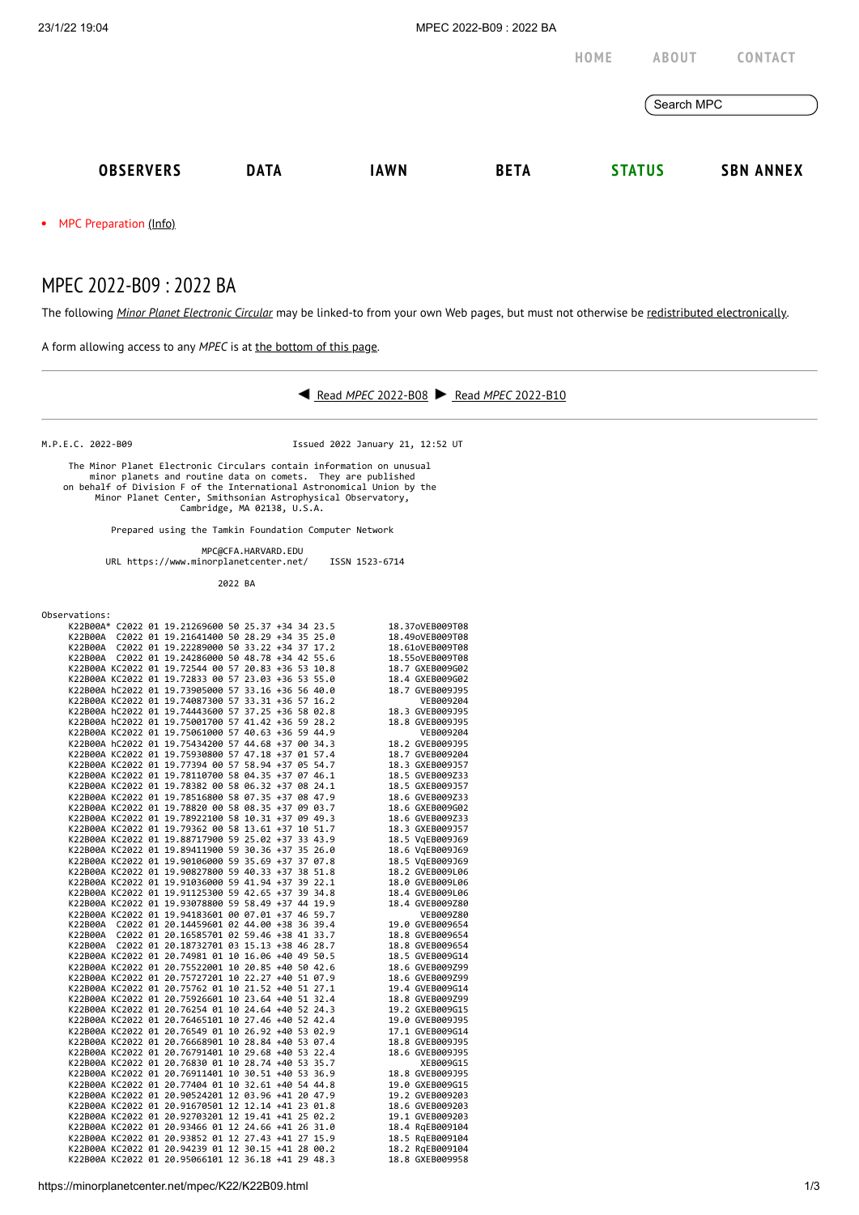• MPC Preparation [\(Info\)](https://minorplanetcenter.net/iau/info/MPCOpStatus.html)

## MPEC 2022-B09 : 2022 BA

The following *Minor Planet [Electronic](https://minorplanetcenter.net/iau/services/MPEC.html) Circular* may be linked-to from your own Web pages, but must not otherwise be redistributed [electronically](https://minorplanetcenter.net/iau/WWWPolicy.html).

A form allowing access to any *MPEC* is at the [bottom](https://minorplanetcenter.net/mpec/K19/K22B09.html#form) of this page.



M.P.E.C. 2022-B09 Issued 2022 January 21, 12:52 UT

 The Minor Planet Electronic Circulars contain information on unusual minor planets and routine data on comets. They are published on behalf of Division F of the International Astronomical Union by the Minor Planet Center, Smithsonian Astrophysical Observatory, Cambridge, MA 02138, U.S.A.

Prepared using the Tamkin Foundation Computer Network

 MPC@CFA.HARVARD.EDU URL https://www.minorplanetcenter.net/ ISSN 1523-6714

| 2022 BA                                                                                                  |                                    |     |
|----------------------------------------------------------------------------------------------------------|------------------------------------|-----|
| Observations:                                                                                            |                                    |     |
| K22B00A* C2022 01 19.21269600 50 25.37 +34 34 23.5                                                       | 18.37oVEB009T08                    |     |
| K22B00A C2022 01 19.21641400 50 28.29 +34 35 25.0                                                        | 18.49oVEB009T08                    |     |
| K22B00A C2022 01 19.22289000 50 33.22 +34 37 17.2                                                        | 18.61oVEB009T08                    |     |
| K22B00A C2022 01 19.24286000 50 48.78 +34 42 55.6                                                        | 18.55oVEB009T08                    |     |
| K22B00A KC2022 01 19.72544 00 57 20.83 +36 53 10.8                                                       | 18.7 GXEB009G02                    |     |
| K22B00A KC2022 01 19.72833 00 57 23.03 +36 53 55.0                                                       | 18.4 GXEB009G02                    |     |
| K22B00A hC2022 01 19.73905000 57 33.16 +36 56 40.0                                                       | 18.7 GVEB009J95                    |     |
| K22B00A KC2022 01 19.74087300 57 33.31 +36 57 16.2                                                       | VEB009204                          |     |
| K22B00A hC2022 01 19.74443600 57 37.25 +36 58 02.8                                                       | 18.3 GVEB009J95                    |     |
| K22B00A hC2022 01 19.75001700 57 41.42 +36 59 28.2                                                       | 18.8 GVEB009J95                    |     |
| K22B00A KC2022 01 19.75061000 57 40.63 +36 59 44.9                                                       | VEB009204                          |     |
| K22B00A hC2022 01 19.75434200 57 44.68 +37 00 34.3                                                       | 18.2 GVEB009J95                    |     |
| K22B00A KC2022 01 19.75930800 57 47.18 +37 01 57.4                                                       | 18.7 GVEB009204                    |     |
| K22B00A KC2022 01 19.77394 00 57 58.94 +37 05 54.7                                                       | 18.3 GXEB009J57                    |     |
| K22B00A KC2022 01 19.78110700 58 04.35 +37 07 46.1                                                       | 18.5 GVEB009Z33                    |     |
| K22B00A KC2022 01 19.78382 00 58 06.32 +37 08 24.1                                                       | 18.5 GXEB009J57                    |     |
| K22B00A KC2022 01 19.78516800 58 07.35 +37 08 47.9                                                       | 18.6 GVEB009Z33                    |     |
| K22B00A KC2022 01 19.78820 00 58 08.35 +37 09 03.7<br>K22B00A KC2022 01 19.78922100 58 10.31 +37 09 49.3 | 18.6 GXEB009G02                    |     |
| K22B00A KC2022 01 19.79362 00 58 13.61 +37 10 51.7                                                       | 18.6 GVEB009Z33<br>18.3 GXEB009J57 |     |
| K22B00A KC2022 01 19.88717900 59 25.02 +37 33 43.9                                                       | 18.5 VgEB009J69                    |     |
| K22B00A KC2022 01 19.89411900 59 30.36 +37 35 26.0                                                       | 18.6 VqEB009J69                    |     |
| K22B00A KC2022 01 19.90106000 59 35.69 +37 37 07.8                                                       | 18.5 VgEB009J69                    |     |
| K22B00A KC2022 01 19.90827800 59 40.33 +37 38 51.8                                                       | 18.2 GVEB009L06                    |     |
| K22B00A KC2022 01 19.91036000 59 41.94 +37 39 22.1                                                       | 18.0 GVEB009L06                    |     |
| K22B00A KC2022 01 19.91125300 59 42.65 +37 39 34.8                                                       | 18.4 GVEB009L06                    |     |
| K22B00A KC2022 01 19.93078800 59 58.49 +37 44 19.9                                                       | 18.4 GVEB009Z80                    |     |
| K22B00A KC2022 01 19.94183601 00 07.01 +37 46 59.7                                                       | VEB009Z80                          |     |
| K22B00A C2022 01 20.14459601 02 44.00 +38 36 39.4                                                        | 19.0 GVEB009654                    |     |
| K22B00A C2022 01 20.16585701 02 59.46 +38 41 33.7                                                        | 18.8 GVEB009654                    |     |
| K22B00A C2022 01 20.18732701 03 15.13 +38 46 28.7<br>K22B00A KC2022 01 20.74981 01 10 16.06 +40 49 50.5  | 18.8 GVEB009654<br>18.5 GVEB009G14 |     |
| K22B00A KC2022 01 20.75522001 10 20.85 +40 50 42.6                                                       | 18.6 GVEB009Z99                    |     |
| K22B00A KC2022 01 20.75727201 10 22.27 +40 51 07.9                                                       | 18.6 GVEB009Z99                    |     |
| K22B00A KC2022 01 20.75762 01 10 21.52 +40 51 27.1                                                       | 19.4 GVEB009G14                    |     |
| K22B00A KC2022 01 20.75926601 10 23.64 +40 51 32.4                                                       | 18.8 GVEB009Z99                    |     |
| K22B00A KC2022 01 20.76254 01 10 24.64 +40 52 24.3                                                       | 19.2 GXEB009G15                    |     |
| K22B00A KC2022 01 20.76465101 10 27.46 +40 52 42.4                                                       | 19.0 GVEB009J95                    |     |
| K22B00A KC2022 01 20.76549 01 10 26.92 +40 53 02.9                                                       | 17.1 GVEB009G14                    |     |
| K22B00A KC2022 01 20.76668901 10 28.84 +40 53 07.4                                                       | 18.8 GVEB009J95                    |     |
| K22B00A KC2022 01 20.76791401 10 29.68 +40 53 22.4                                                       | 18.6 GVEB009J95                    |     |
| K22B00A KC2022 01 20.76830 01 10 28.74 +40 53 35.7                                                       | XEB009G15                          |     |
| K22B00A KC2022 01 20.76911401 10 30.51 +40 53 36.9                                                       | 18.8 GVEB009J95                    |     |
| K22B00A KC2022 01 20.77404 01 10 32.61 +40 54 44.8<br>K22B00A KC2022 01 20.90524201 12 03.96 +41 20 47.9 | 19.0 GXEB009G15<br>19.2 GVEB009203 |     |
| K22B00A KC2022 01 20.91670501 12 12.14 +41 23 01.8                                                       | 18.6 GVEB009203                    |     |
| K22B00A KC2022 01 20.92703201 12 19.41 +41 25 02.2                                                       | 19.1 GVEB009203                    |     |
| K22B00A KC2022 01 20.93466 01 12 24.66 +41 26 31.0                                                       | 18.4 RgEB009104                    |     |
| K22B00A KC2022 01 20.93852 01 12 27.43 +41 27 15.9                                                       | 18.5 RqEB009104                    |     |
| K22B00A KC2022 01 20.94239 01 12 30.15 +41 28 00.2                                                       | 18.2 RqEB009104                    |     |
| K22B00A KC2022 01 20.95066101 12 36.18 +41 29 48.3                                                       | 18.8 GXEB009958                    |     |
|                                                                                                          |                                    |     |
| https://minorplanetcenter.net/mpec/K22/K22B09.html                                                       |                                    | 1/3 |
|                                                                                                          |                                    |     |
|                                                                                                          |                                    |     |
|                                                                                                          |                                    |     |
|                                                                                                          |                                    |     |
|                                                                                                          |                                    |     |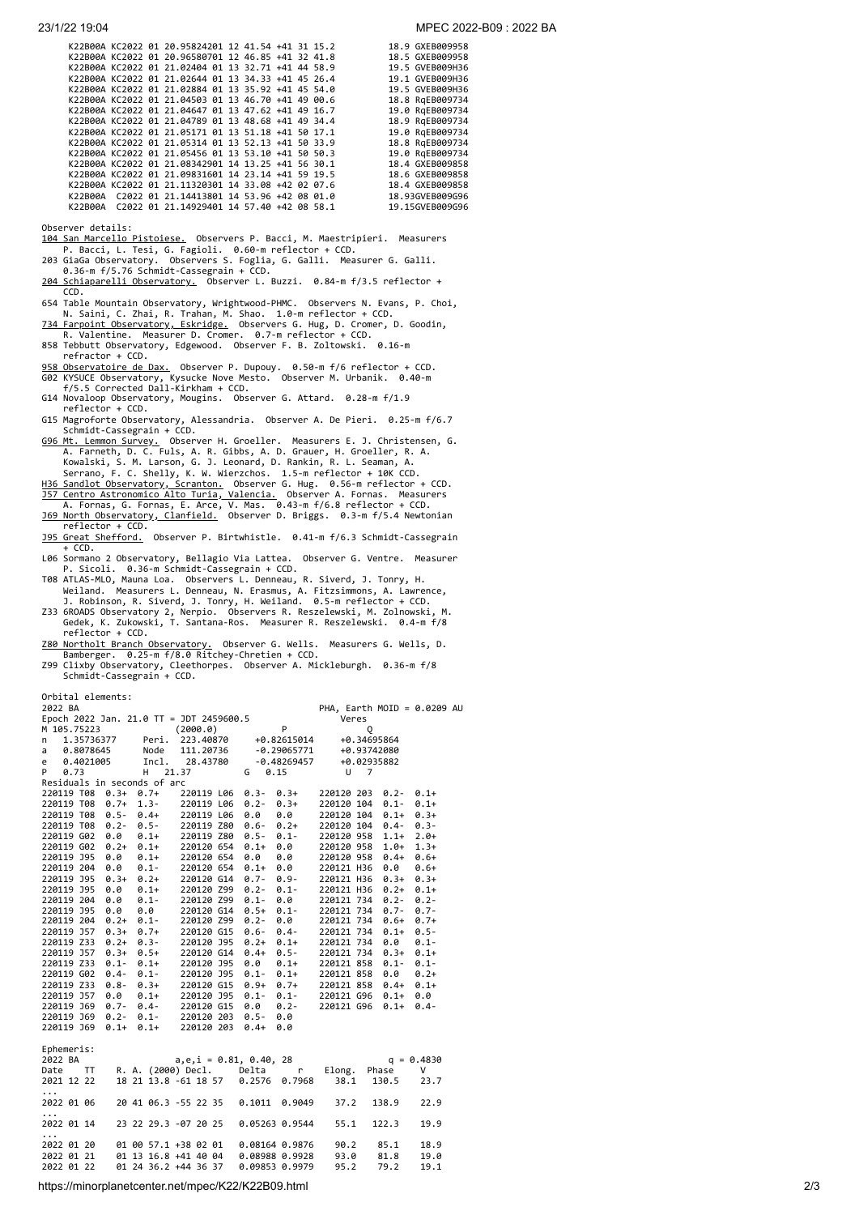|         |  | K22B00A KC2022 01 20.95824201 12 41.54 +41 31 15.2 |  |  | 18.9 GXEB009958 |
|---------|--|----------------------------------------------------|--|--|-----------------|
|         |  | K22B00A KC2022 01 20.96580701 12 46.85 +41 32 41.8 |  |  | 18.5 GXEB009958 |
|         |  | K22B00A KC2022 01 21.02404 01 13 32.71 +41 44 58.9 |  |  | 19.5 GVEB009H36 |
|         |  | K22B00A KC2022 01 21.02644 01 13 34.33 +41 45 26.4 |  |  | 19.1 GVEB009H36 |
|         |  | K22B00A KC2022 01 21.02884 01 13 35.92 +41 45 54.0 |  |  | 19.5 GVEB009H36 |
|         |  | K22B00A KC2022 01 21.04503 01 13 46.70 +41 49 00.6 |  |  | 18.8 RgEB009734 |
|         |  | K22B00A KC2022 01 21.04647 01 13 47.62 +41 49 16.7 |  |  | 19.0 RgEB009734 |
|         |  | K22B00A KC2022 01 21.04789 01 13 48.68 +41 49 34.4 |  |  | 18.9 RqEB009734 |
|         |  | K22B00A KC2022 01 21.05171 01 13 51.18 +41 50 17.1 |  |  | 19.0 RgEB009734 |
|         |  | K22B00A KC2022 01 21.05314 01 13 52.13 +41 50 33.9 |  |  | 18.8 RgEB009734 |
|         |  | K22B00A KC2022 01 21.05456 01 13 53.10 +41 50 50.3 |  |  | 19.0 RgEB009734 |
|         |  | K22B00A KC2022 01 21.08342901 14 13.25 +41 56 30.1 |  |  | 18.4 GXEB009858 |
|         |  | K22B00A KC2022 01 21.09831601 14 23.14 +41 59 19.5 |  |  | 18.6 GXEB009858 |
|         |  | K22B00A KC2022 01 21.11320301 14 33.08 +42 02 07.6 |  |  | 18.4 GXEB009858 |
| K22B00A |  | C2022 01 21.14413801 14 53.96 +42 08 01.0          |  |  | 18.93GVEB009G96 |
| K22B00A |  | C2022 01 21.14929401 14 57.40 +42 08 58.1          |  |  | 19.15GVEB009G96 |
|         |  |                                                    |  |  |                 |

Observer details:

- [104 San Marcello Pistoiese.](http://www.gamp-pt.net/) Observers P. Bacci, M. Maestripieri. Measurers
- P. Bacci, L. Tesi, G. Fagioli. 0.60-m reflector + CCD. 203 GiaGa Observatory. Observers S. Foglia, G. Galli. Measurer G. Galli. 0.36-m f/5.76 Schmidt-Cassegrain + CCD.
- [204 Schiaparelli Observatory.](http://www.astrogeo.va.it/) Observer L. Buzzi. 0.84-m f/3.5 reflector + CCD.
- 654 Table Mountain Observatory, Wrightwood-PHMC. Observers N. Evans, P. Choi,
- N. Saini, C. Zhai, R. Trahan, M. Shao. 1.0-m reflector + CCD.<br><u>[734 Farpoint Observatory, Eskridge.](https://nekaal.org/doku.php?id=farpoint_observatory)</u> Observers G. Hug, D. Cromer, D. Goodin,<br> R. Valentine. Measurer D. Cromer. 0.7-m reflector + CCD.<br>858 Tebbutt Observat
- refractor + CCD.
- [958 Observatoire de Dax.](http://www.astrosurf.com/obsdax) Observer P. Dupouy. 0.50-m f/6 reflector + CCD.<br>G02 KYSUCE Observatory, Kysucke Nove Mesto. Observer M. Urbanik. 0.40-m<br>f/5.5 Corrected Dall-Kirkham + CCD.
- G14 Novaloop Observatory, Mougins. Observer G. Attard. 0.28-m f/1.9 reflector + CCD.
- 
- G15 Magroforte Observatory, Alessandria. Observer A. De Pieri. 0.25-m f/6.7<br>Schmidt-Cassegrain + CCD.<br><u>[G96 Mt. Lemmon Survey.](http://www.lpl.arizona.edu/css/)</u> Observer H. Groeller. Measurers E. J. Christensen, G.<br>A. Farneth, D. C. Fuls, A. R. Gibbs, A. D
- Serrano, F. C. Shelly, K. W. Wierzchos. 1.5-m reflector + 10K CCD.<br><u>H36 Sandlot Observatory, Scranton.</u> Observer G. Hug. 0.56-m reflector + CCD.<br><u>J57 Centro Astronomico Alto Turia, Valencia.</u> Observer A. Fornas. Measurers<br>
- reflector + CCD.
- [J95 Great Shefford.](http://www.birtwhistle.org.uk/) Observer P. Birtwhistle. 0.41-m f/6.3 Schmidt-Cassegrain + CCD.
- L06 Sormano 2 Observatory, Bellagio Via Lattea. Observer G. Ventre. Measurer
- P. Sicoli. 0.36-m Schmidt-Cassegrain + CCD. T08 ATLAS-MLO, Mauna Loa. Observers L. Denneau, R. Siverd, J. Tonry, H. Weiland. Measurers L. Denneau, N. Erasmus, A. Fitzsimmons, A. Lawrence,
- J. Robinson, R. Siverd, J. Tonry, H. Weiland. 0.5-m reflector + CCD.<br>Z33 6ROADS Observatory 2, Nerpio. Observers R. Reszelewski, M. Zolnowski, M.<br>Gedek, K. Zukowski, T. Santana-Ros. Measurer R. Reszelewski. 0.4-m f/8<br>refle
- [Z80 Northolt Branch Observatory.](https://www.facebook.com/NBObservatories/) Observer G. Wells. Measurers G. Wells, D. Bamberger. 0.25-m f/8.0 Ritchey-Chretien + CCD. Z99 Clixby Observatory, Cleethorpes. Observer A. Mickleburgh. 0.36-m f/8 Schmidt-Cassegrain + CCD.
- 

Orbital elements:

...

| PHA, Earth MOID = $0.0209$ AU                                                                                                                                                                                                                                                               |
|---------------------------------------------------------------------------------------------------------------------------------------------------------------------------------------------------------------------------------------------------------------------------------------------|
| Veres                                                                                                                                                                                                                                                                                       |
| 0                                                                                                                                                                                                                                                                                           |
| 223.40870 +0.82615014<br>+0.34695864                                                                                                                                                                                                                                                        |
| $-0.29065771$<br>+0.93742080                                                                                                                                                                                                                                                                |
| $-0.48269457$<br>+0.02935882                                                                                                                                                                                                                                                                |
| $U$ 7                                                                                                                                                                                                                                                                                       |
|                                                                                                                                                                                                                                                                                             |
| 220120 203 0.2-<br>$0.1+$                                                                                                                                                                                                                                                                   |
| 220120 104 0.1-<br>$0.1+$                                                                                                                                                                                                                                                                   |
| 220120 104 0.1+<br>$0.3+$                                                                                                                                                                                                                                                                   |
| $0.3 -$<br>220120 104 0.4-                                                                                                                                                                                                                                                                  |
| 220120 958 1.1+ 2.0+                                                                                                                                                                                                                                                                        |
| 220120 958 1.0+<br>$1.3+$                                                                                                                                                                                                                                                                   |
| 220120 958 0.4+<br>$0.6+$                                                                                                                                                                                                                                                                   |
| 220121 H36 0.0<br>$0.6+$                                                                                                                                                                                                                                                                    |
| 220121 H36 0.3+<br>$0.3+$                                                                                                                                                                                                                                                                   |
| 220121 H36 0.2+<br>$0.1+$                                                                                                                                                                                                                                                                   |
| $0.2 -$<br>220121 734 0.2-                                                                                                                                                                                                                                                                  |
| 220121 734 0.7- 0.7-                                                                                                                                                                                                                                                                        |
| $0.7+$<br>220121 734 0.6+                                                                                                                                                                                                                                                                   |
| $0.5 -$<br>220121 734 0.1+                                                                                                                                                                                                                                                                  |
| 220121 734 0.0<br>$0.1 -$                                                                                                                                                                                                                                                                   |
| 220121 734 0.3+<br>$0.1+$                                                                                                                                                                                                                                                                   |
| $0.1 -$                                                                                                                                                                                                                                                                                     |
| $\begin{array}{cccccc} 0.1+ & 220120 & 95 & 0.0 & 0.1+ & 220121 & 858 & 0.1- & 0.1- \\ 0.1- & 220120 & 395 & 0.1- & 0.1+ & 220121 & 858 & 0.0 & 0.2+ \\ 0.3+ & 220120 & 615 & 0.9+ & 0.7+ & 220121 & 858 & 0.4+ & 0.1+ \\ 0.1+ & 220120 & 395 & 0.1- & 0.1- & 220121 & 696 & 0.$<br>$0.2 +$ |
| 220121 858 0.4+ 0.1+                                                                                                                                                                                                                                                                        |
|                                                                                                                                                                                                                                                                                             |
| 220121 G96<br>$0.1+$<br>$0.4 -$                                                                                                                                                                                                                                                             |
|                                                                                                                                                                                                                                                                                             |
|                                                                                                                                                                                                                                                                                             |
|                                                                                                                                                                                                                                                                                             |
|                                                                                                                                                                                                                                                                                             |
| $q = 0.4830$                                                                                                                                                                                                                                                                                |
| Phase<br>V<br>Elong.                                                                                                                                                                                                                                                                        |
| 38.1<br>130.5<br>23.7                                                                                                                                                                                                                                                                       |
|                                                                                                                                                                                                                                                                                             |
| 37.2<br>138.9<br>22.9                                                                                                                                                                                                                                                                       |
|                                                                                                                                                                                                                                                                                             |
| 55.1<br>122.3<br>19.9                                                                                                                                                                                                                                                                       |
| $0.3+$<br>$0.2+$<br>0.1-<br>0.0<br>$0.9 -$<br>0.7968<br>0.9049<br>0.05263 0.9544                                                                                                                                                                                                            |

2022 01 20 01 00 57.1 +38 02 01 0.08164 0.9876 90.2 85.1 18.9<br>2022 01 21 01 13 16.8 +41 40 04 0.08988 0.9928 93.0 81.8 19.0<br>2022 01 22 01 24 36.2 +44 36 37 0.09853 0.9979 95.2 79.2 19.1 2022 01 21 01 13 16.8 +41 40 04 0.08988 0.9928 93.0 81.8 19.0 2022 01 22 01 24 36.2 +44 36 37 0.09853 0.9979 95.2 79.2 19.1